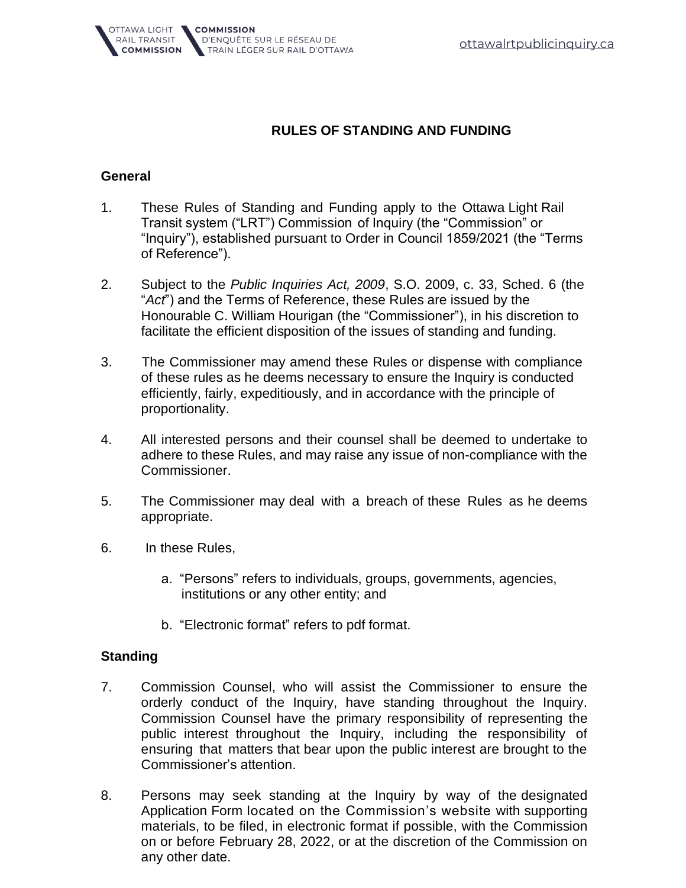

## **RULES OF STANDING AND FUNDING**

## **General**

- 1. These Rules of Standing and Funding apply to the Ottawa Light Rail Transit system ("LRT") Commission of Inquiry (the "Commission" or "Inquiry"), established pursuant to Order in Council 1859/2021 (the "Terms of Reference").
- 2. Subject to the *Public Inquiries Act, 2009*, S.O. 2009, c. 33, Sched. 6 (the "*Act*") and the Terms of Reference, these Rules are issued by the Honourable C. William Hourigan (the "Commissioner"), in his discretion to facilitate the efficient disposition of the issues of standing and funding.
- 3. The Commissioner may amend these Rules or dispense with compliance of these rules as he deems necessary to ensure the Inquiry is conducted efficiently, fairly, expeditiously, and in accordance with the principle of proportionality.
- 4. All interested persons and their counsel shall be deemed to undertake to adhere to these Rules, and may raise any issue of non-compliance with the Commissioner.
- 5. The Commissioner may deal with a breach of these Rules as he deems appropriate.
- 6. In these Rules,
	- a. "Persons" refers to individuals, groups, governments, agencies, institutions or any other entity; and
	- b. "Electronic format" refers to pdf format.

## **Standing**

- 7. Commission Counsel, who will assist the Commissioner to ensure the orderly conduct of the Inquiry, have standing throughout the Inquiry. Commission Counsel have the primary responsibility of representing the public interest throughout the Inquiry, including the responsibility of ensuring that matters that bear upon the public interest are brought to the Commissioner's attention.
- 8. Persons may seek standing at the Inquiry by way of the designated Application Form located on the Commission's website with supporting materials, to be filed, in electronic format if possible, with the Commission on or before February 28, 2022, or at the discretion of the Commission on any other date.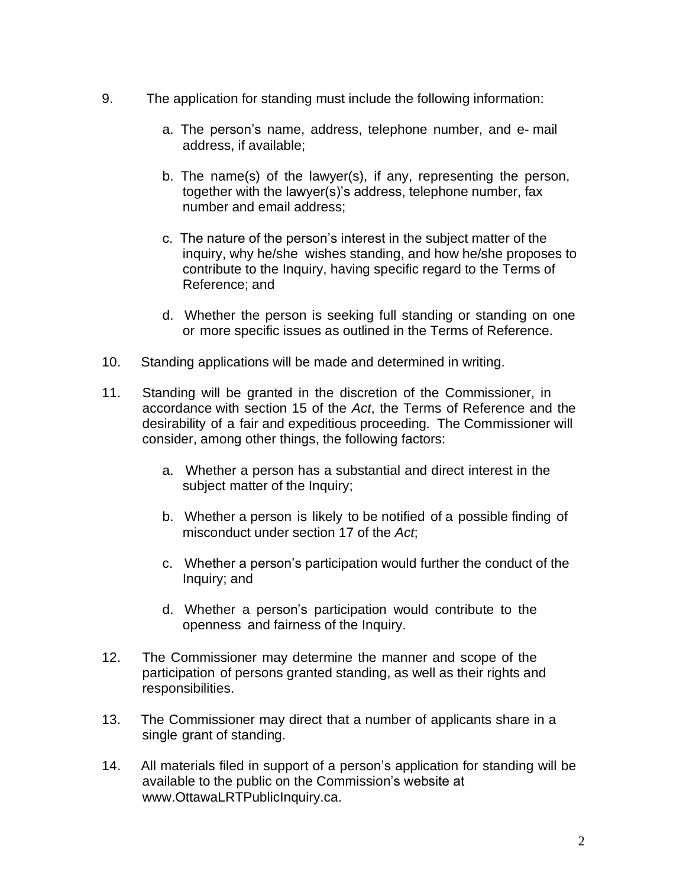- 9. The application for standing must include the following information:
	- a. The person's name, address, telephone number, and e- mail address, if available;
	- b. The name(s) of the lawyer(s), if any, representing the person, together with the lawyer(s)'s address, telephone number, fax number and email address;
	- c. The nature of the person's interest in the subject matter of the inquiry, why he/she wishes standing, and how he/she proposes to contribute to the Inquiry, having specific regard to the Terms of Reference; and
	- d. Whether the person is seeking full standing or standing on one or more specific issues as outlined in the Terms of Reference.
- 10. Standing applications will be made and determined in writing.
- 11. Standing will be granted in the discretion of the Commissioner, in accordance with section 15 of the *Act*, the Terms of Reference and the desirability of a fair and expeditious proceeding. The Commissioner will consider, among other things, the following factors:
	- a. Whether a person has a substantial and direct interest in the subject matter of the Inquiry;
	- b. Whether a person is likely to be notified of a possible finding of misconduct under section 17 of the *Act*;
	- c. Whether a person's participation would further the conduct of the Inquiry; and
	- d. Whether a person's participation would contribute to the openness and fairness of the Inquiry.
- 12. The Commissioner may determine the manner and scope of the participation of persons granted standing, as well as their rights and responsibilities.
- 13. The Commissioner may direct that a number of applicants share in a single grant of standing.
- 14. All materials filed in support of a person's application for standing will be available to the public on the Commissio[n's website at](http://www.elliotlakeinquiry.ca/) www.OttawaLRTPublicInquiry.ca.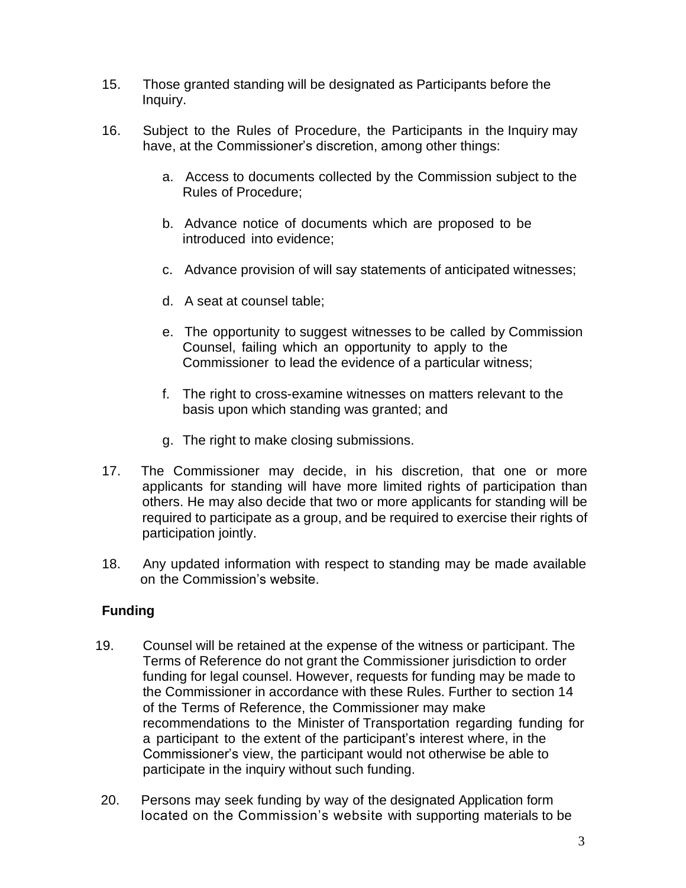- 15. Those granted standing will be designated as Participants before the Inquiry.
- 16. Subject to the Rules of Procedure, the Participants in the Inquiry may have, at the Commissioner's discretion, among other things:
	- a. Access to documents collected by the Commission subject to the Rules of Procedure;
	- b. Advance notice of documents which are proposed to be introduced into evidence;
	- c. Advance provision of will say statements of anticipated witnesses;
	- d. A seat at counsel table;
	- e. The opportunity to suggest witnesses to be called by Commission Counsel, failing which an opportunity to apply to the Commissioner to lead the evidence of a particular witness;
	- f. The right to cross-examine witnesses on matters relevant to the basis upon which standing was granted; and
	- g. The right to make closing submissions.
- 17. The Commissioner may decide, in his discretion, that one or more applicants for standing will have more limited rights of participation than others. He may also decide that two or more applicants for standing will be required to participate as a group, and be required to exercise their rights of participation jointly.
- 18. Any updated information with respect to standing may be made available on the [Commission's website.](https://www.ottawalrtpublicinquiry.ca/)

## **Funding**

- 19. Counsel will be retained at the expense of the witness or participant. The Terms of Reference do not grant the Commissioner jurisdiction to order funding for legal counsel. However, requests for funding may be made to the Commissioner in accordance with these Rules. Further to section 14 of the Terms of Reference, the Commissioner may make recommendations to the Minister of Transportation regarding funding for a participant to the extent of the participant's interest where, in the Commissioner's view, the participant would not otherwise be able to participate in the inquiry without such funding.
- 20. Persons may seek funding by way of the designated Application form located on the Commission's website with supporting materials to be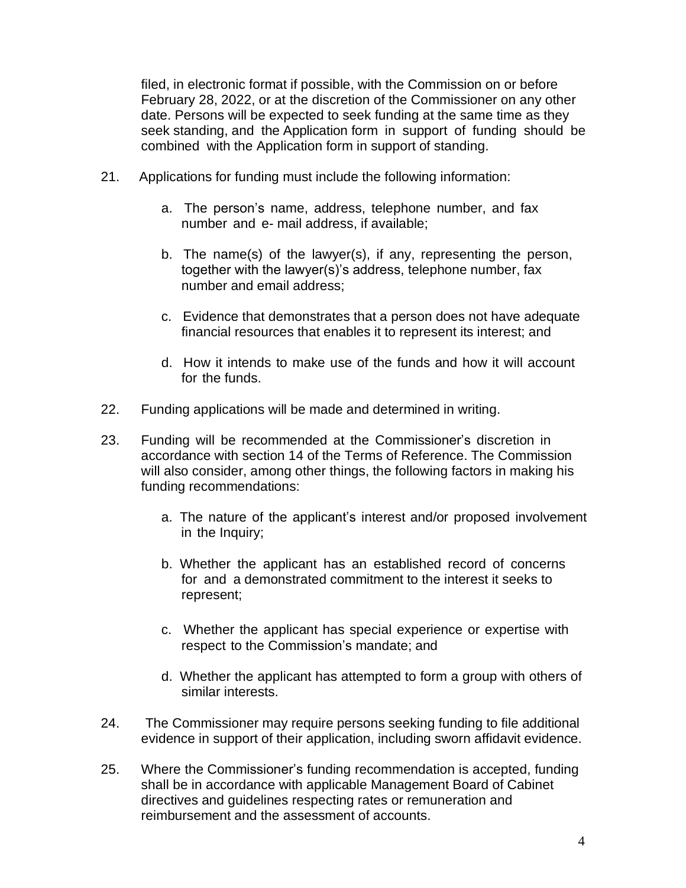filed, in electronic format if possible, with the Commission on or before February 28, 2022, or at the discretion of the Commissioner on any other date. Persons will be expected to seek funding at the same time as they seek standing, and the Application form in support of funding should be combined with the Application form in support of standing.

- 21. Applications for funding must include the following information:
	- a. The person's name, address, telephone number, and fax number and e- mail address, if available;
	- b. The name(s) of the lawyer(s), if any, representing the person, together with the lawyer(s)'s address, telephone number, fax number and email address;
	- c. Evidence that demonstrates that a person does not have adequate financial resources that enables it to represent its interest; and
	- d. How it intends to make use of the funds and how it will account for the funds.
- 22. Funding applications will be made and determined in writing.
- 23. Funding will be recommended at the Commissioner's discretion in accordance with section 14 of the Terms of Reference. The Commission will also consider, among other things, the following factors in making his funding recommendations:
	- a. The nature of the applicant's interest and/or proposed involvement in the Inquiry;
	- b. Whether the applicant has an established record of concerns for and a demonstrated commitment to the interest it seeks to represent;
	- c. Whether the applicant has special experience or expertise with respect to the Commission's mandate; and
	- d. Whether the applicant has attempted to form a group with others of similar interests.
- 24. The Commissioner may require persons seeking funding to file additional evidence in support of their application, including sworn affidavit evidence.
- 25. Where the Commissioner's funding recommendation is accepted, funding shall be in accordance with applicable Management Board of Cabinet directives and guidelines respecting rates or remuneration and reimbursement and the assessment of accounts.